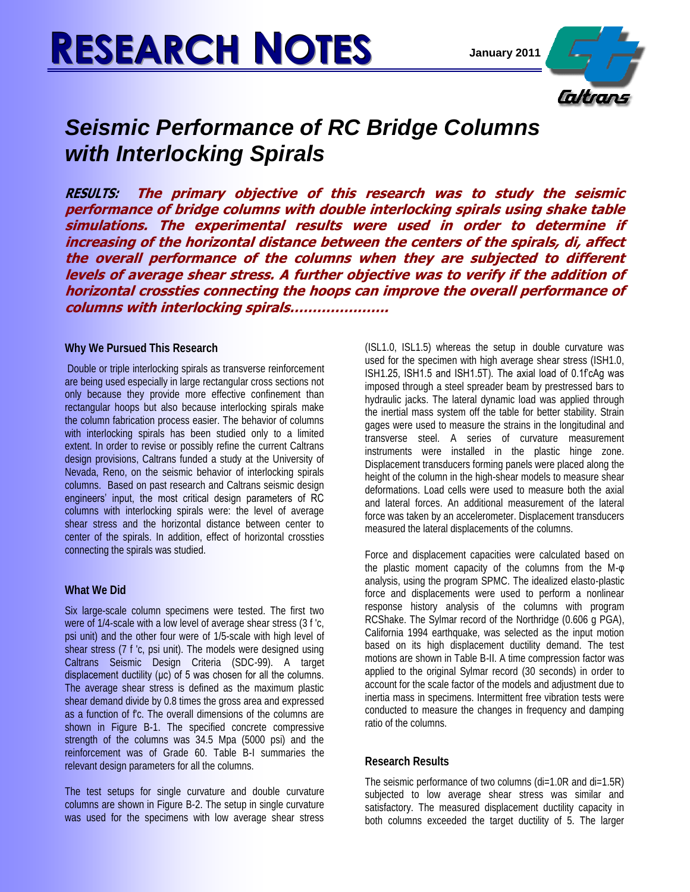# **RESEARCH NOTES January <sup>2011</sup>**



## *Seismic Performance of RC Bridge Columns with Interlocking Spirals*

**RESULTS: The primary objective of this research was to study the seismic performance of bridge columns with double interlocking spirals using shake table simulations. The experimental results were used in order to determine if increasing of the horizontal distance between the centers of the spirals, di, affect the overall performance of the columns when they are subjected to different levels of average shear stress. A further objective was to verify if the addition of horizontal crossties connecting the hoops can improve the overall performance of columns with interlocking spirals………………….**

#### **Why We Pursued This Research**

Double or triple interlocking spirals as transverse reinforcement are being used especially in large rectangular cross sections not only because they provide more effective confinement than rectangular hoops but also because interlocking spirals make the column fabrication process easier. The behavior of columns with interlocking spirals has been studied only to a limited extent. In order to revise or possibly refine the current Caltrans design provisions, Caltrans funded a study at the University of Nevada, Reno, on the seismic behavior of interlocking spirals columns. Based on past research and Caltrans seismic design engineers' input, the most critical design parameters of RC columns with interlocking spirals were: the level of average shear stress and the horizontal distance between center to center of the spirals. In addition, effect of horizontal crossties connecting the spirals was studied.

### **What We Did**

Six large-scale column specimens were tested. The first two were of 1/4-scale with a low level of average shear stress (3 f 'c, psi unit) and the other four were of 1/5-scale with high level of shear stress (7 f 'c, psi unit). The models were designed using Caltrans Seismic Design Criteria (SDC-99). A target displacement ductility (μc) of 5 was chosen for all the columns. The average shear stress is defined as the maximum plastic shear demand divide by 0.8 times the gross area and expressed as a function of f'c. The overall dimensions of the columns are shown in Figure B-1. The specified concrete compressive strength of the columns was 34.5 Mpa (5000 psi) and the reinforcement was of Grade 60. Table B-I summaries the relevant design parameters for all the columns.

The test setups for single curvature and double curvature columns are shown in Figure B-2. The setup in single curvature was used for the specimens with low average shear stress

(ISL1.0, ISL1.5) whereas the setup in double curvature was used for the specimen with high average shear stress (ISH1.0, ISH1.25, ISH1.5 and ISH1.5T). The axial load of 0.1f'cAg was imposed through a steel spreader beam by prestressed bars to hydraulic jacks. The lateral dynamic load was applied through the inertial mass system off the table for better stability. Strain gages were used to measure the strains in the longitudinal and transverse steel. A series of curvature measurement instruments were installed in the plastic hinge zone. Displacement transducers forming panels were placed along the height of the column in the high-shear models to measure shear deformations. Load cells were used to measure both the axial and lateral forces. An additional measurement of the lateral force was taken by an accelerometer. Displacement transducers measured the lateral displacements of the columns.

Force and displacement capacities were calculated based on the plastic moment capacity of the columns from the M-φ analysis, using the program SPMC. The idealized elasto-plastic force and displacements were used to perform a nonlinear response history analysis of the columns with program RCShake. The Sylmar record of the Northridge (0.606 g PGA), California 1994 earthquake, was selected as the input motion based on its high displacement ductility demand. The test motions are shown in Table B-II. A time compression factor was applied to the original Sylmar record (30 seconds) in order to account for the scale factor of the models and adjustment due to inertia mass in specimens. Intermittent free vibration tests were conducted to measure the changes in frequency and damping ratio of the columns.

### **Research Results**

The seismic performance of two columns (di=1.0R and di=1.5R) subjected to low average shear stress was similar and satisfactory. The measured displacement ductility capacity in both columns exceeded the target ductility of 5. The larger